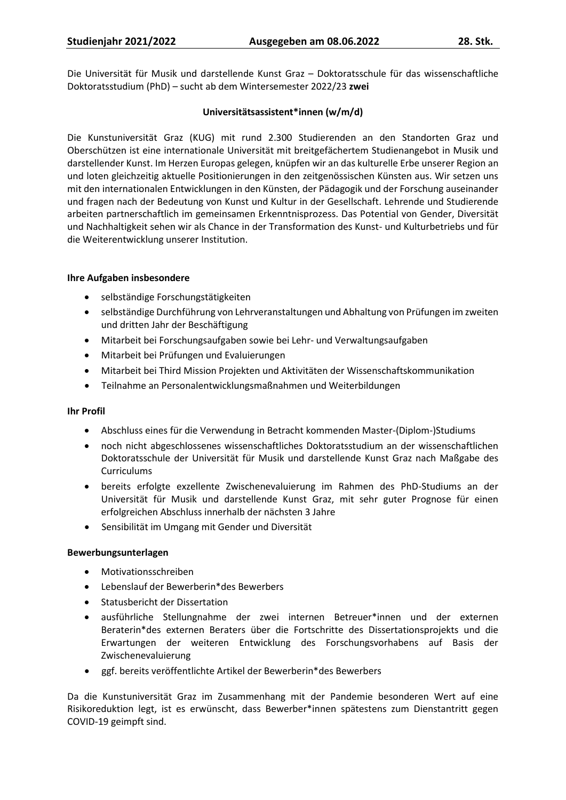Die Universität für Musik und darstellende Kunst Graz – Doktoratsschule für das wissenschaftliche Doktoratsstudium (PhD) – sucht ab dem Wintersemester 2022/23 **zwei**

## **Universitätsassistent\*innen (w/m/d)**

Die Kunstuniversität Graz (KUG) mit rund 2.300 Studierenden an den Standorten Graz und Oberschützen ist eine internationale Universität mit breitgefächertem Studienangebot in Musik und darstellender Kunst. Im Herzen Europas gelegen, knüpfen wir an das kulturelle Erbe unserer Region an und loten gleichzeitig aktuelle Positionierungen in den zeitgenössischen Künsten aus. Wir setzen uns mit den internationalen Entwicklungen in den Künsten, der Pädagogik und der Forschung auseinander und fragen nach der Bedeutung von Kunst und Kultur in der Gesellschaft. Lehrende und Studierende arbeiten partnerschaftlich im gemeinsamen Erkenntnisprozess. Das Potential von Gender, Diversität und Nachhaltigkeit sehen wir als Chance in der Transformation des Kunst- und Kulturbetriebs und für die Weiterentwicklung unserer Institution.

#### **Ihre Aufgaben insbesondere**

- selbständige Forschungstätigkeiten
- selbständige Durchführung von Lehrveranstaltungen und Abhaltung von Prüfungen im zweiten und dritten Jahr der Beschäftigung
- Mitarbeit bei Forschungsaufgaben sowie bei Lehr- und Verwaltungsaufgaben
- Mitarbeit bei Prüfungen und Evaluierungen
- Mitarbeit bei Third Mission Projekten und Aktivitäten der Wissenschaftskommunikation
- Teilnahme an Personalentwicklungsmaßnahmen und Weiterbildungen

#### **Ihr Profil**

- Abschluss eines für die Verwendung in Betracht kommenden Master-(Diplom-)Studiums
- noch nicht abgeschlossenes wissenschaftliches Doktoratsstudium an der wissenschaftlichen Doktoratsschule der Universität für Musik und darstellende Kunst Graz nach Maßgabe des Curriculums
- bereits erfolgte exzellente Zwischenevaluierung im Rahmen des PhD-Studiums an der Universität für Musik und darstellende Kunst Graz, mit sehr guter Prognose für einen erfolgreichen Abschluss innerhalb der nächsten 3 Jahre
- Sensibilität im Umgang mit Gender und Diversität

# **Bewerbungsunterlagen**

- Motivationsschreiben
- Lebenslauf der Bewerberin\*des Bewerbers
- Statusbericht der Dissertation
- ausführliche Stellungnahme der zwei internen Betreuer\*innen und der externen Beraterin\*des externen Beraters über die Fortschritte des Dissertationsprojekts und die Erwartungen der weiteren Entwicklung des Forschungsvorhabens auf Basis der Zwischenevaluierung
- ggf. bereits veröffentlichte Artikel der Bewerberin\*des Bewerbers

Da die Kunstuniversität Graz im Zusammenhang mit der Pandemie besonderen Wert auf eine Risikoreduktion legt, ist es erwünscht, dass Bewerber\*innen spätestens zum Dienstantritt gegen COVID-19 geimpft sind.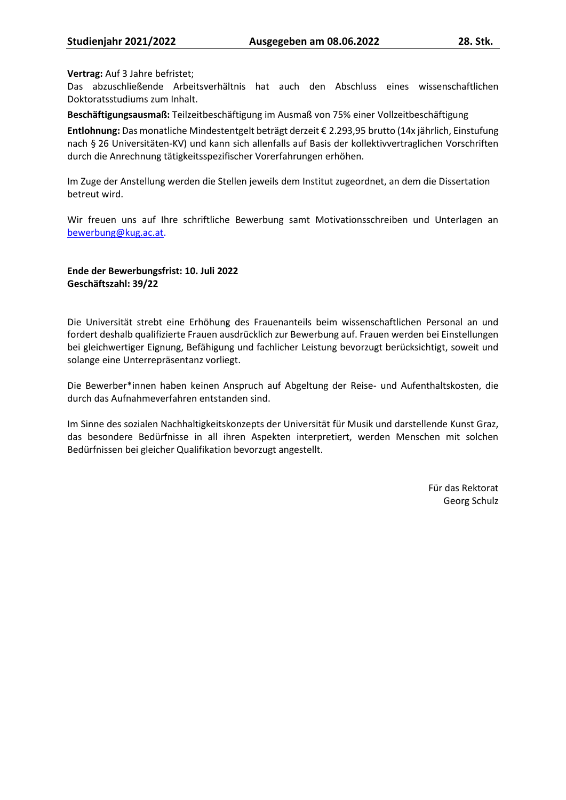#### **Vertrag:** Auf 3 Jahre befristet;

Das abzuschließende Arbeitsverhältnis hat auch den Abschluss eines wissenschaftlichen Doktoratsstudiums zum Inhalt.

**Beschäftigungsausmaß:** Teilzeitbeschäftigung im Ausmaß von 75% einer Vollzeitbeschäftigung

**Entlohnung:** Das monatliche Mindestentgelt beträgt derzeit € 2.293,95 brutto (14x jährlich, Einstufung nach § 26 Universitäten-KV) und kann sich allenfalls auf Basis der kollektivvertraglichen Vorschriften durch die Anrechnung tätigkeitsspezifischer Vorerfahrungen erhöhen.

Im Zuge der Anstellung werden die Stellen jeweils dem Institut zugeordnet, an dem die Dissertation betreut wird.

Wir freuen uns auf Ihre schriftliche Bewerbung samt Motivationsschreiben und Unterlagen an bewerbung@kug.ac.at.

#### **Ende der Bewerbungsfrist: 10. Juli 2022 Geschäftszahl: 39/22**

Die Universität strebt eine Erhöhung des Frauenanteils beim wissenschaftlichen Personal an und fordert deshalb qualifizierte Frauen ausdrücklich zur Bewerbung auf. Frauen werden bei Einstellungen bei gleichwertiger Eignung, Befähigung und fachlicher Leistung bevorzugt berücksichtigt, soweit und solange eine Unterrepräsentanz vorliegt.

Die Bewerber\*innen haben keinen Anspruch auf Abgeltung der Reise- und Aufenthaltskosten, die durch das Aufnahmeverfahren entstanden sind.

Im Sinne des sozialen Nachhaltigkeitskonzepts der Universität für Musik und darstellende Kunst Graz, das besondere Bedürfnisse in all ihren Aspekten interpretiert, werden Menschen mit solchen Bedürfnissen bei gleicher Qualifikation bevorzugt angestellt.

> Für das Rektorat Georg Schulz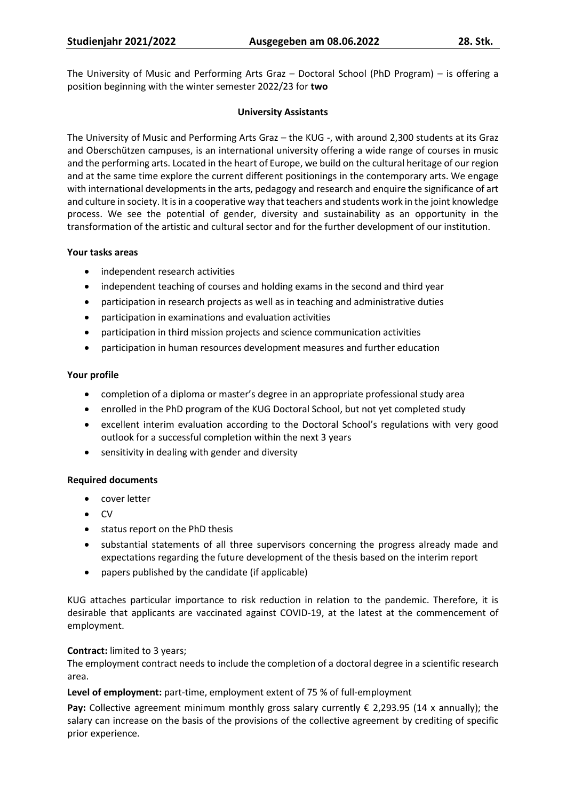The University of Music and Performing Arts Graz – Doctoral School (PhD Program) – is offering a position beginning with the winter semester 2022/23 for **two**

## **University Assistants**

The University of Music and Performing Arts Graz – the KUG -, with around 2,300 students at its Graz and Oberschützen campuses, is an international university offering a wide range of courses in music and the performing arts. Located in the heart of Europe, we build on the cultural heritage of our region and at the same time explore the current different positionings in the contemporary arts. We engage with international developments in the arts, pedagogy and research and enquire the significance of art and culture in society. It is in a cooperative way that teachers and students work in the joint knowledge process. We see the potential of gender, diversity and sustainability as an opportunity in the transformation of the artistic and cultural sector and for the further development of our institution.

#### **Your tasks areas**

- independent research activities
- independent teaching of courses and holding exams in the second and third year
- participation in research projects as well as in teaching and administrative duties
- participation in examinations and evaluation activities
- participation in third mission projects and science communication activities
- participation in human resources development measures and further education

## **Your profile**

- completion of a diploma or master's degree in an appropriate professional study area
- enrolled in the PhD program of the KUG Doctoral School, but not yet completed study
- excellent interim evaluation according to the Doctoral School's regulations with very good outlook for a successful completion within the next 3 years
- sensitivity in dealing with gender and diversity

# **Required documents**

- cover letter
- CV
- status report on the PhD thesis
- substantial statements of all three supervisors concerning the progress already made and expectations regarding the future development of the thesis based on the interim report
- papers published by the candidate (if applicable)

KUG attaches particular importance to risk reduction in relation to the pandemic. Therefore, it is desirable that applicants are vaccinated against COVID-19, at the latest at the commencement of employment.

# **Contract:** limited to 3 years;

The employment contract needs to include the completion of a doctoral degree in a scientific research area.

**Level of employment:** part-time, employment extent of 75 % of full-employment

**Pay:** Collective agreement minimum monthly gross salary currently € 2,293.95 (14 x annually); the salary can increase on the basis of the provisions of the collective agreement by crediting of specific prior experience.